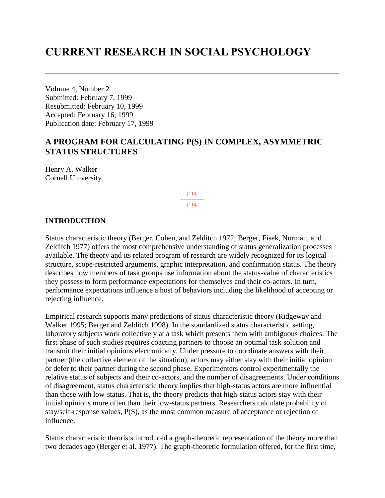# **CURRENT RESEARCH IN SOCIAL PSYCHOLOGY**

Volume 4, Number 2 Submitted: February 7, 1999 Resubmitted: February 10, 1999 Accepted: February 16, 1999 Publication date: February 17, 1999

## **A PROGRAM FOR CALCULATING P(S) IN COMPLEX, ASYMMETRIC STATUS STRUCTURES**

Henry A. Walker Cornell University

> [113] --------------- [114]

#### **INTRODUCTION**

Status characteristic theory (Berger, Cohen, and Zelditch 1972; Berger, Fisek, Norman, and Zelditch 1977) offers the most comprehensive understanding of status generalization processes available. The theory and its related program of research are widely recognized for its logical structure, scope-restricted arguments, graphic interpretation, and confirmation status. The theory describes how members of task groups use information about the status-value of characteristics they possess to form performance expectations for themselves and their co-actors. In turn, performance expectations influence a host of behaviors including the likelihood of accepting or rejecting influence.

Empirical research supports many predictions of status characteristic theory (Ridgeway and Walker 1995; Berger and Zelditch 1998). In the standardized status characteristic setting, laboratory subjects work collectively at a task which presents them with ambiguous choices. The first phase of such studies requires coacting partners to choose an optimal task solution and transmit their initial opinions electronically. Under pressure to coordinate answers with their partner (the collective element of the situation), actors may either stay with their initial opinion or defer to their partner during the second phase. Experimenters control experimentally the relative status of subjects and their co-actors, and the number of disagreements. Under conditions of disagreement, status characteristic theory implies that high-status actors are more influential than those with low-status. That is, the theory predicts that high-status actors stay with their initial opinions more often than their low-status partners. Researchers calculate probability of stay/self-response values, P(S), as the most common measure of acceptance or rejection of influence.

Status characteristic theorists introduced a graph-theoretic representation of the theory more than two decades ago (Berger et al. 1977). The graph-theoretic formulation offered, for the first time,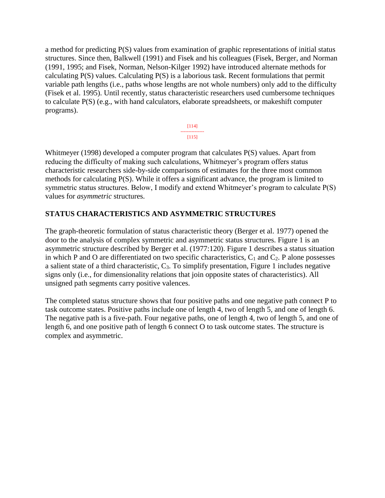a method for predicting P(S) values from examination of graphic representations of initial status structures. Since then, Balkwell (1991) and Fisek and his colleagues (Fisek, Berger, and Norman (1991, 1995; and Fisek, Norman, Nelson-Kilger 1992) have introduced alternate methods for calculating P(S) values. Calculating P(S) is a laborious task. Recent formulations that permit variable path lengths (i.e., paths whose lengths are not whole numbers) only add to the difficulty (Fisek et al. 1995). Until recently, status characteristic researchers used cumbersome techniques to calculate P(S) (e.g., with hand calculators, elaborate spreadsheets, or makeshift computer programs).

> [114] ---------------  $[115]$

Whitmeyer (1998) developed a computer program that calculates P(S) values. Apart from reducing the difficulty of making such calculations, Whitmeyer's program offers status characteristic researchers side-by-side comparisons of estimates for the three most common methods for calculating P(S). While it offers a significant advance, the program is limited to symmetric status structures. Below, I modify and extend Whitmeyer's program to calculate P(S) values for *asymmetric* structures.

## **STATUS CHARACTERISTICS AND ASYMMETRIC STRUCTURES**

The graph-theoretic formulation of status characteristic theory (Berger et al. 1977) opened the door to the analysis of complex symmetric and asymmetric status structures. Figure 1 is an asymmetric structure described by Berger et al. (1977:120). Figure 1 describes a status situation in which P and O are differentiated on two specific characteristics,  $C_1$  and  $C_2$ . P alone possesses a salient state of a third characteristic,  $C_3$ . To simplify presentation, Figure 1 includes negative signs only (i.e., for dimensionality relations that join opposite states of characteristics). All unsigned path segments carry positive valences.

The completed status structure shows that four positive paths and one negative path connect P to task outcome states. Positive paths include one of length 4, two of length 5, and one of length 6. The negative path is a five-path. Four negative paths, one of length 4, two of length 5, and one of length 6, and one positive path of length 6 connect O to task outcome states. The structure is complex and asymmetric.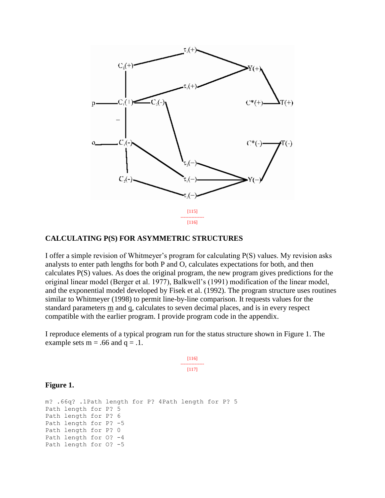

#### **CALCULATING P(S) FOR ASYMMETRIC STRUCTURES**

I offer a simple revision of Whitmeyer's program for calculating P(S) values. My revision asks analysts to enter path lengths for both P and O, calculates expectations for both, and then calculates P(S) values. As does the original program, the new program gives predictions for the original linear model (Berger et al. 1977), Balkwell's (1991) modification of the linear model, and the exponential model developed by Fisek et al. (1992). The program structure uses routines similar to Whitmeyer (1998) to permit line-by-line comparison. It requests values for the standard parameters  $\overline{m}$  and  $\overline{q}$ , calculates to seven decimal places, and is in every respect compatible with the earlier program. I provide program code in the appendix.

I reproduce elements of a typical program run for the status structure shown in Figure 1. The example sets  $m = .66$  and  $q = .1$ .

> [116] --------------- [117]

#### **Figure 1.**

m? .66q? .1Path length for P? 4Path length for P? 5 Path length for P? 5 Path length for P? 6 Path length for P? -5 Path length for P? 0 Path length for O? -4 Path length for O? -5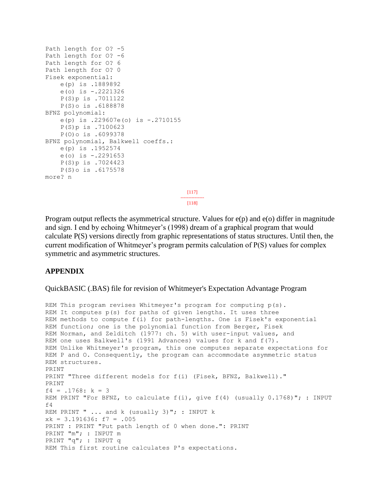```
Path length for O? -5
Path length for O? -6
Path length for O? 6
Path length for O? 0
Fisek exponential:
     e(p) is .1889892
     e(o) is -.2221326
     P(S)p is .7011122
     P(S)o is .6188878
BFNZ polynomial:
     e(p) is .229607e(o) is -.2710155
     P(S)p is .7100623
     P(O)o is .6099378
BFNZ polynomial, Balkwell coeffs.:
     e(p) is .1952574
     e(o) is -.2291653
     P(S)p is .7024423
     P(S)o is .6175578
more? n
                                        [117]
                                       ---------------
                                         [118]
```
Program output reflects the asymmetrical structure. Values for  $e(p)$  and  $e(o)$  differ in magnitude and sign. I end by echoing Whitmeyer's (1998) dream of a graphical program that would calculate P(S) versions directly from graphic representations of status structures. Until then, the current modification of Whitmeyer's program permits calculation of P(S) values for complex symmetric and asymmetric structures.

#### **APPENDIX**

QuickBASIC (.BAS) file for revision of Whitmeyer's Expectation Advantage Program

```
REM This program revises Whitmeyer's program for computing p(s).
REM It computes p(s) for paths of given lengths. It uses three
REM methods to compute f(i) for path-lengths. One is Fisek's exponential
REM function; one is the polynomial function from Berger, Fisek
REM Norman, and Zelditch (1977: ch. 5) with user-input values, and
REM one uses Balkwell's (1991 Advances) values for k and f(7).
REM Unlike Whitmeyer's program, this one computes separate expectations for
REM P and O. Consequently, the program can accommodate asymmetric status
REM structures.
PRINT
PRINT "Three different models for f(i) (Fisek, BFNZ, Balkwell)."
PRINT
f4 = .1768: k = 3REM PRINT "For BFNZ, to calculate f(i), give f(4) (usually 0.1768)"; : INPUT
f4REM PRINT " ... and k (usually 3)"; : INPUT k
xk = 3.191636: f7 = .005
PRINT : PRINT "Put path length of 0 when done.": PRINT
PRINT "m"; : INPUT m
PRINT "q"; : INPUT q
REM This first routine calculates P's expectations.
```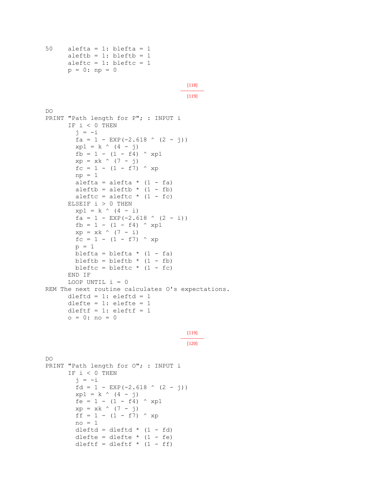```
50 alefta = 1: blefta = 1
      aleftb = 1: bleftb = 1aleftc = 1: bleftc = 1p = 0: np = 0[118]
                                       ---------------
                                        [119]
DO
PRINT "Path length for P"; : INPUT i
       IF i < 0 THEN
        j = -ifa = 1 - EXP(-2.618 (2 - j))
        xp1 = k \land (4 - j)fb = 1 - (1 - f4) \wedge xp1
        xp = xk (7 - j)
        fc = 1 - (1 - f7) \wedge xp
        np = 1alefta = alefta * (1 - fa)
        aleftb = aleftb * (1 - fb)
        aleftc = aleftc *(1 - fc) ELSEIF i > 0 THEN
        xp1 = k \land (4 - i)fa = 1 - EXP(-2.618 (2 - i))
        fb = 1 - (1 - f4) \wedge xp1
        xp = xk \land (7 - i)fc = 1 - (1 - f7) \wedge xp
        p = 1blefta = blefta * (1 - fa)bleftb = bleftb * (1 - fb)
        bleftc = bleftc * (1 - fc)
       END IF
      LOOP UNTIL i = 0REM The next routine calculates O's expectations.
      dleftd = 1: eleftd = 1dlefte = 1: elefte = 1dleftf = 1: eleftf = 1 o = 0: no = 0
                                        [119]
                                       ---------------
                                        [120]
DO
```

```
PRINT "Path length for O"; : INPUT i
       IF i < 0 THEN
        j = -ifd = 1 - EXP(-2.618 (2 - j))
        xp1 = k \land (4 - j)fe = 1 - (1 - f4) \wedge xp1
        xp = xk \land (7 - j)ff = 1 - (1 - f7) \wedge xp
        no = 1dleftd = dleftd * (1 - fd)
        dlefte = dlefte * (1 - fe)dleftf = dleftf * (1 - ff)
```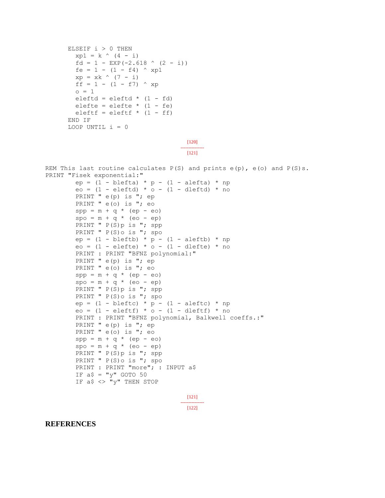```
ELSEIF i > 0 THEN
        xp1 = k \land (4 - i)fd = 1 - EXP(-2.618 (2 - i))
        fe = 1 - (1 - f4) \wedge xp1
        xp = xk \land (7 - i)ff = 1 - (1 - f7) \wedge xp
        0 = 1eleftd = eleftd * (1 - fd)elefte = elefte * (1 - fe)eleftf = eleftf * (1 - ff)
       END IF
      LOOP UNTIL i = 0[120]
                                       ---------------
                                        [121]
REM This last routine calculates P(S) and prints e(p), e(o) and P(S)s.
PRINT "Fisek exponential:"
        ep = (1 - \text{bleft}) * p - (1 - \text{aleft}) * npeo = (1 - \text{eleftd}) * o - (1 - \text{deftd}) * noPRINT " e(p) is "; ep
         PRINT " e(o) is "; eo
        spp = m + q * (ep - eo)spo = m + q * (eo - ep)PRINT " P(S)p is "; spp
        PRINT " P(S) o is "; spo
        ep = (1 - bleft) * p - (1 - aleft) * npeo = (1 - \text{eleft}) * o - (1 - \text{dleft}) * no PRINT : PRINT "BFNZ polynomial:"
        PRINT " e(p) is "; epPRINT " e(o) is "; eo
        spp = m + q * (ep - eo)spo = m + q * (eo - ep)PRINT " P(S)p is "; spp
        PRINT " P(S) o is "; spo
        ep = (1 - bleftc) * p - (1 - aleftc) * npeo = (1 - \text{eleftf}) * o - (1 - \text{deftf}) * no PRINT : PRINT "BFNZ polynomial, Balkwell coeffs.:"
        PRINT " e(p) is "; ep
        PRINT " e(o) is "; eo
        spp = m + q * (ep - eo)spo = m + q * (eo - ep)
```

```
[121]
---------------
  [122]
```
**REFERENCES**

PRINT " P(S)p is "; spp PRINT " P(S) o is "; spo

IF  $a$ \$ = "y" GOTO 50 IF  $a \succeq \neg y$ " THEN STOP

PRINT : PRINT "more"; : INPUT a\$